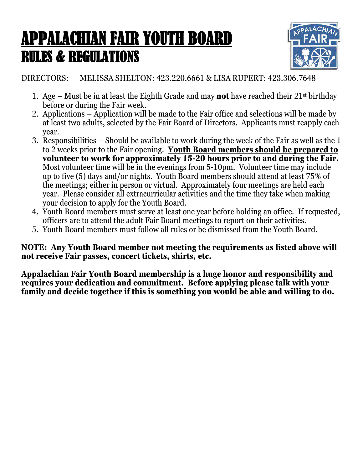## APPALACHIAN FAIR YOUTH BOARD RULES & REGULATIONS



DIRECTORS: MELISSA SHELTON: 423.220.6661 & LISA RUPERT: 423.306.7648

- 1. Age Must be in at least the Eighth Grade and may **not** have reached their 21st birthday before or during the Fair week.
- 2. Applications Application will be made to the Fair office and selections will be made by at least two adults, selected by the Fair Board of Directors. Applicants must reapply each year.
- 3. Responsibilities Should be available to work during the week of the Fair as well as the 1 to 2 weeks prior to the Fair opening. **Youth Board members should be prepared to volunteer to work for approximately 15-20 hours prior to and during the Fair.** Most volunteer time will be in the evenings from 5-10pm. Volunteer time may include up to five (5) days and/or nights. Youth Board members should attend at least 75% of the meetings; either in person or virtual. Approximately four meetings are held each year. Please consider all extracurricular activities and the time they take when making your decision to apply for the Youth Board.
- 4. Youth Board members must serve at least one year before holding an office. If requested, officers are to attend the adult Fair Board meetings to report on their activities.
- 5. Youth Board members must follow all rules or be dismissed from the Youth Board.

**NOTE: Any Youth Board member not meeting the requirements as listed above will not receive Fair passes, concert tickets, shirts, etc.**

**Appalachian Fair Youth Board membership is a huge honor and responsibility and requires your dedication and commitment. Before applying please talk with your family and decide together if this is something you would be able and willing to do.**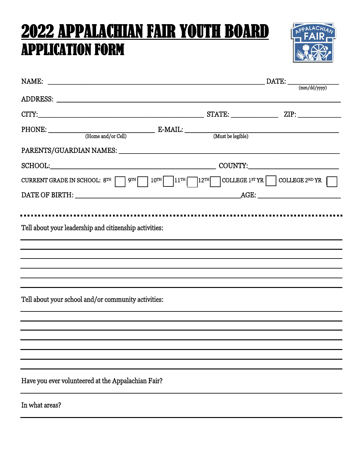## 2022 APPALACHIAN FAIR YOUTH BOARD APPLICATION FORM



| NAME:                                                                                                                                                                                                                          | $\text{DATE:}\_\_\_\text{(mm/dd/yyyy)}$ |  |
|--------------------------------------------------------------------------------------------------------------------------------------------------------------------------------------------------------------------------------|-----------------------------------------|--|
|                                                                                                                                                                                                                                |                                         |  |
|                                                                                                                                                                                                                                |                                         |  |
|                                                                                                                                                                                                                                |                                         |  |
| PARENTS/GUARDIAN NAMES: Universe and the contract of the contract of the contract of the contract of the contract of the contract of the contract of the contract of the contract of the contract of the contract of the contr |                                         |  |
|                                                                                                                                                                                                                                |                                         |  |
| CURRENT GRADE IN SCHOOL: $8^{TH}$ $9^{TH}$ $10^{TH}$ $11^{TH}$ $12^{TH}$ COLLEGE $1^{ST}$ $YR$ $\Box$ COLLEGE $2^{ND}$ $YR$                                                                                                    |                                         |  |
|                                                                                                                                                                                                                                |                                         |  |
|                                                                                                                                                                                                                                |                                         |  |
| Tell about your leadership and citizenship activities:                                                                                                                                                                         |                                         |  |
|                                                                                                                                                                                                                                |                                         |  |
|                                                                                                                                                                                                                                |                                         |  |
|                                                                                                                                                                                                                                |                                         |  |
| Tell about your school and/or community activities:                                                                                                                                                                            |                                         |  |
|                                                                                                                                                                                                                                |                                         |  |
|                                                                                                                                                                                                                                |                                         |  |
|                                                                                                                                                                                                                                |                                         |  |
|                                                                                                                                                                                                                                |                                         |  |
| Have you ever volunteered at the Appalachian Fair?                                                                                                                                                                             |                                         |  |
| In what areas?                                                                                                                                                                                                                 |                                         |  |